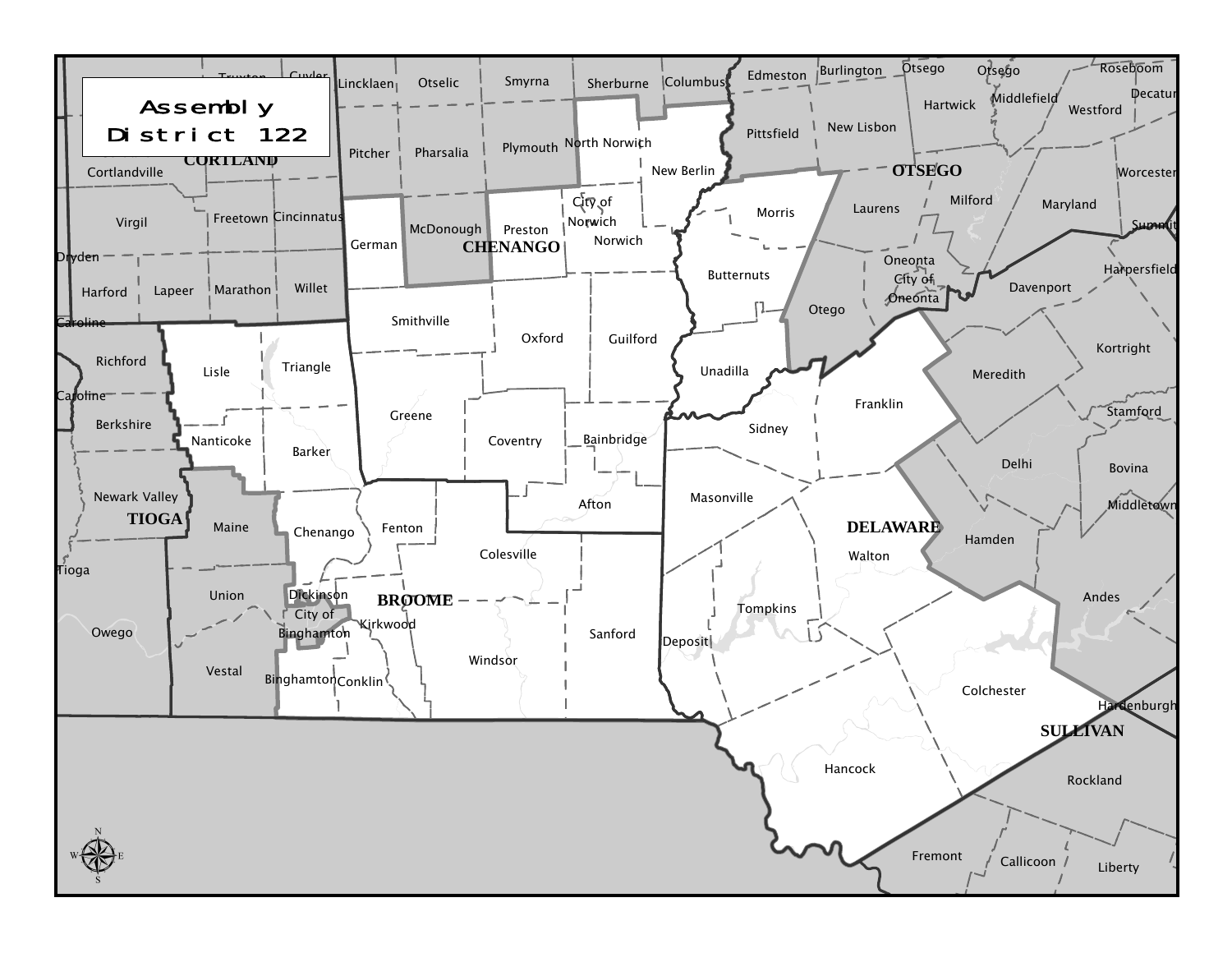